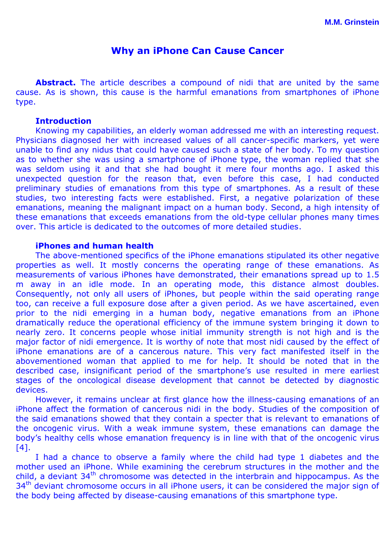# **Why an iPhone Can Cause Cancer**

Abstract. The article describes a compound of nidi that are united by the same cause. As is shown, this cause is the harmful emanations from smartphones of iPhone type.

### **Introduction**

Knowing my capabilities, an elderly woman addressed me with an interesting request. Physicians diagnosed her with increased values of all cancer-specific markers, yet were unable to find any nidus that could have caused such a state of her body. To my question as to whether she was using a smartphone of iPhone type, the woman replied that she was seldom using it and that she had bought it mere four months ago. I asked this unexpected question for the reason that, even before this case, I had conducted preliminary studies of emanations from this type of smartphones. As a result of these studies, two interesting facts were established. First, a negative polarization of these emanations, meaning the malignant impact on a human body. Second, a high intensity of these emanations that exceeds emanations from the old-type cellular phones many times over. This article is dedicated to the outcomes of more detailed studies.

#### **iPhones and human health**

The above-mentioned specifics of the iPhone emanations stipulated its other negative properties as well. It mostly concerns the operating range of these emanations. As measurements of various iPhones have demonstrated, their emanations spread up to 1.5 m away in an idle mode. In an operating mode, this distance almost doubles. Consequently, not only all users of iPhones, but people within the said operating range too, can receive a full exposure dose after a given period. As we have ascertained, even prior to the nidi emerging in a human body, negative emanations from an iPhone dramatically reduce the operational efficiency of the immune system bringing it down to nearly zero. It concerns people whose initial immunity strength is not high and is the major factor of nidi emergence. It is worthy of note that most nidi caused by the effect of iPhone emanations are of a cancerous nature. This very fact manifested itself in the abovementioned woman that applied to me for help. It should be noted that in the described case, insignificant period of the smartphone's use resulted in mere earliest stages of the oncological disease development that cannot be detected by diagnostic devices.

However, it remains unclear at first glance how the illness-causing emanations of an iPhone affect the formation of cancerous nidi in the body. Studies of the composition of the said emanations showed that they contain a specter that is relevant to emanations of the oncogenic virus. With a weak immune system, these emanations can damage the body's healthy cells whose emanation frequency is in line with that of the oncogenic virus [4].

I had a chance to observe a family where the child had type 1 diabetes and the mother used an iPhone. While examining the cerebrum structures in the mother and the child, a deviant  $34<sup>th</sup>$  chromosome was detected in the interbrain and hippocampus. As the  $34<sup>th</sup>$  deviant chromosome occurs in all iPhone users, it can be considered the major sign of the body being affected by disease-causing emanations of this smartphone type.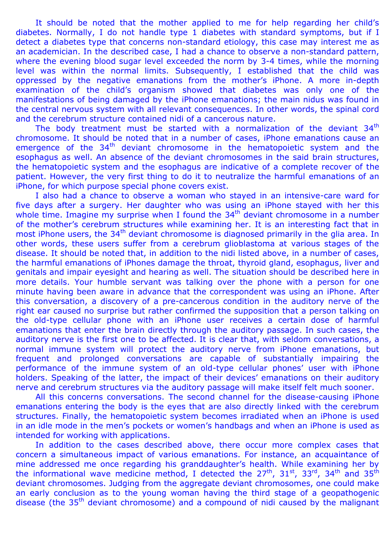It should be noted that the mother applied to me for help regarding her child's diabetes. Normally, I do not handle type 1 diabetes with standard symptoms, but if I detect a diabetes type that concerns non-standard etiology, this case may interest me as an academician. In the described case, I had a chance to observe a non-standard pattern, where the evening blood sugar level exceeded the norm by 3-4 times, while the morning level was within the normal limits. Subsequently, I established that the child was oppressed by the negative emanations from the mother's iPhone. A more in-depth examination of the child's organism showed that diabetes was only one of the manifestations of being damaged by the iPhone emanations; the main nidus was found in the central nervous system with all relevant consequences. In other words, the spinal cord and the cerebrum structure contained nidi of a cancerous nature.

The body treatment must be started with a normalization of the deviant  $34<sup>th</sup>$ chromosome. It should be noted that in a number of cases, iPhone emanations cause an emergence of the  $34<sup>th</sup>$  deviant chromosome in the hematopoietic system and the esophagus as well. An absence of the deviant chromosomes in the said brain structures, the hematopoietic system and the esophagus are indicative of a complete recover of the patient. However, the very first thing to do it to neutralize the harmful emanations of an iPhone, for which purpose special phone covers exist.

I also had a chance to observe a woman who stayed in an intensive-care ward for five days after a surgery. Her daughter who was using an iPhone stayed with her this whole time. Imagine my surprise when I found the  $34<sup>th</sup>$  deviant chromosome in a number of the mother's cerebrum structures while examining her. It is an interesting fact that in most iPhone users, the 34<sup>th</sup> deviant chromosome is diagnosed primarily in the glia area. In other words, these users suffer from a cerebrum glioblastoma at various stages of the disease. It should be noted that, in addition to the nidi listed above, in a number of cases, the harmful emanations of iPhones damage the throat, thyroid gland, esophagus, liver and genitals and impair eyesight and hearing as well. The situation should be described here in more details. Your humble servant was talking over the phone with a person for one minute having been aware in advance that the correspondent was using an iPhone. After this conversation, a discovery of a pre-cancerous condition in the auditory nerve of the right ear caused no surprise but rather confirmed the supposition that a person talking on the old-type cellular phone with an iPhone user receives a certain dose of harmful emanations that enter the brain directly through the auditory passage. In such cases, the auditory nerve is the first one to be affected. It is clear that, with seldom conversations, a normal immune system will protect the auditory nerve from iPhone emanations, but frequent and prolonged conversations are capable of substantially impairing the performance of the immune system of an old-type cellular phones' user with iPhone holders. Speaking of the latter, the impact of their devices' emanations on their auditory nerve and cerebrum structures via the auditory passage will make itself felt much sooner.

All this concerns conversations. The second channel for the disease-causing iPhone emanations entering the body is the eyes that are also directly linked with the cerebrum structures. Finally, the hematopoietic system becomes irradiated when an iPhone is used in an idle mode in the men's pockets or women's handbags and when an iPhone is used as intended for working with applications.

In addition to the cases described above, there occur more complex cases that concern a simultaneous impact of various emanations. For instance, an acquaintance of mine addressed me once regarding his granddaughter's health. While examining her by the informational wave medicine method, I detected the  $27<sup>th</sup>$ ,  $31<sup>st</sup>$ ,  $33<sup>rd</sup>$ ,  $34<sup>th</sup>$  and  $35<sup>th</sup>$ deviant chromosomes. Judging from the aggregate deviant chromosomes, one could make an early conclusion as to the young woman having the third stage of a geopathogenic disease (the 35th deviant chromosome) and a compound of nidi caused by the malignant